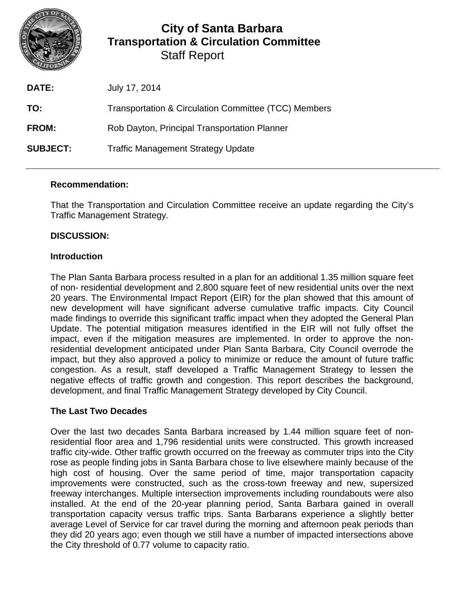

# **City of Santa Barbara Transportation & Circulation Committee** Staff Report

| <b>DATE:</b>    | July 17, 2014                                        |
|-----------------|------------------------------------------------------|
| TO:             | Transportation & Circulation Committee (TCC) Members |
| FROM:           | Rob Dayton, Principal Transportation Planner         |
| <b>SUBJECT:</b> | <b>Traffic Management Strategy Update</b>            |

### **Recommendation:**

That the Transportation and Circulation Committee receive an update regarding the City's Traffic Management Strategy.

### **DISCUSSION:**

### **Introduction**

The Plan Santa Barbara process resulted in a plan for an additional 1.35 million square feet of non- residential development and 2,800 square feet of new residential units over the next 20 years. The Environmental Impact Report (EIR) for the plan showed that this amount of new development will have significant adverse cumulative traffic impacts. City Council made findings to override this significant traffic impact when they adopted the General Plan Update. The potential mitigation measures identified in the EIR will not fully offset the impact, even if the mitigation measures are implemented. In order to approve the nonresidential development anticipated under Plan Santa Barbara, City Council overrode the impact, but they also approved a policy to minimize or reduce the amount of future traffic congestion. As a result, staff developed a Traffic Management Strategy to lessen the negative effects of traffic growth and congestion. This report describes the background, development, and final Traffic Management Strategy developed by City Council.

### **The Last Two Decades**

Over the last two decades Santa Barbara increased by 1.44 million square feet of nonresidential floor area and 1,796 residential units were constructed. This growth increased traffic city-wide. Other traffic growth occurred on the freeway as commuter trips into the City rose as people finding jobs in Santa Barbara chose to live elsewhere mainly because of the high cost of housing. Over the same period of time, major transportation capacity improvements were constructed, such as the cross-town freeway and new, supersized freeway interchanges. Multiple intersection improvements including roundabouts were also installed. At the end of the 20-year planning period, Santa Barbara gained in overall transportation capacity versus traffic trips. Santa Barbarans experience a slightly better average Level of Service for car travel during the morning and afternoon peak periods than they did 20 years ago; even though we still have a number of impacted intersections above the City threshold of 0.77 volume to capacity ratio.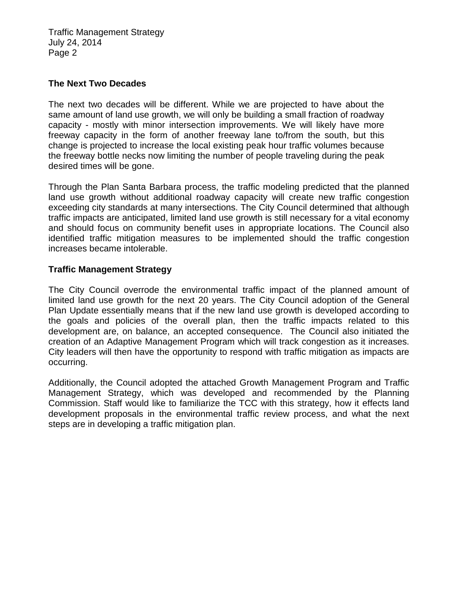Traffic Management Strategy July 24, 2014 Page 2

#### **The Next Two Decades**

The next two decades will be different. While we are projected to have about the same amount of land use growth, we will only be building a small fraction of roadway capacity - mostly with minor intersection improvements. We will likely have more freeway capacity in the form of another freeway lane to/from the south, but this change is projected to increase the local existing peak hour traffic volumes because the freeway bottle necks now limiting the number of people traveling during the peak desired times will be gone.

Through the Plan Santa Barbara process, the traffic modeling predicted that the planned land use growth without additional roadway capacity will create new traffic congestion exceeding city standards at many intersections. The City Council determined that although traffic impacts are anticipated, limited land use growth is still necessary for a vital economy and should focus on community benefit uses in appropriate locations. The Council also identified traffic mitigation measures to be implemented should the traffic congestion increases became intolerable.

#### **Traffic Management Strategy**

The City Council overrode the environmental traffic impact of the planned amount of limited land use growth for the next 20 years. The City Council adoption of the General Plan Update essentially means that if the new land use growth is developed according to the goals and policies of the overall plan, then the traffic impacts related to this development are, on balance, an accepted consequence. The Council also initiated the creation of an Adaptive Management Program which will track congestion as it increases. City leaders will then have the opportunity to respond with traffic mitigation as impacts are occurring.

Additionally, the Council adopted the attached Growth Management Program and Traffic Management Strategy, which was developed and recommended by the Planning Commission. Staff would like to familiarize the TCC with this strategy, how it effects land development proposals in the environmental traffic review process, and what the next steps are in developing a traffic mitigation plan.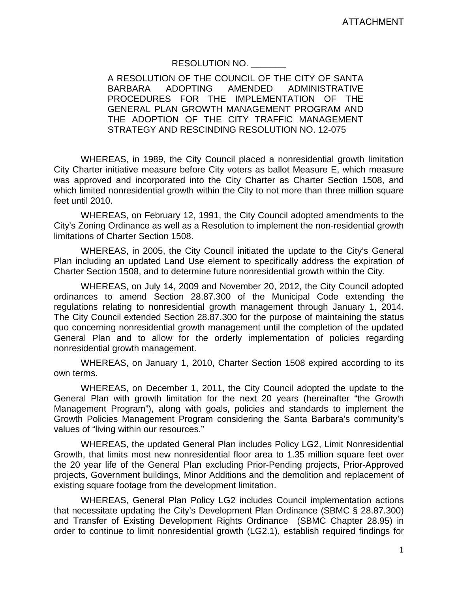# RESOLUTION NO. \_\_\_\_\_\_\_

A RESOLUTION OF THE COUNCIL OF THE CITY OF SANTA<br>BARBARA ADOPTING AMENDED ADMINISTRATIVE BARBARA ADOPTING AMENDED ADMINISTRATIVE PROCEDURES FOR THE IMPLEMENTATION OF THE GENERAL PLAN GROWTH MANAGEMENT PROGRAM AND THE ADOPTION OF THE CITY TRAFFIC MANAGEMENT STRATEGY AND RESCINDING RESOLUTION NO. 12-075

WHEREAS, in 1989, the City Council placed a nonresidential growth limitation City Charter initiative measure before City voters as ballot Measure E, which measure was approved and incorporated into the City Charter as Charter Section 1508, and which limited nonresidential growth within the City to not more than three million square feet until 2010.

WHEREAS, on February 12, 1991, the City Council adopted amendments to the City's Zoning Ordinance as well as a Resolution to implement the non-residential growth limitations of Charter Section 1508.

WHEREAS, in 2005, the City Council initiated the update to the City's General Plan including an updated Land Use element to specifically address the expiration of Charter Section 1508, and to determine future nonresidential growth within the City.

WHEREAS, on July 14, 2009 and November 20, 2012, the City Council adopted ordinances to amend Section 28.87.300 of the Municipal Code extending the regulations relating to nonresidential growth management through January 1, 2014. The City Council extended Section 28.87.300 for the purpose of maintaining the status quo concerning nonresidential growth management until the completion of the updated General Plan and to allow for the orderly implementation of policies regarding nonresidential growth management.

WHEREAS, on January 1, 2010, Charter Section 1508 expired according to its own terms.

WHEREAS, on December 1, 2011, the City Council adopted the update to the General Plan with growth limitation for the next 20 years (hereinafter "the Growth Management Program"), along with goals, policies and standards to implement the Growth Policies Management Program considering the Santa Barbara's community's values of "living within our resources."

WHEREAS, the updated General Plan includes Policy LG2, Limit Nonresidential Growth, that limits most new nonresidential floor area to 1.35 million square feet over the 20 year life of the General Plan excluding Prior-Pending projects, Prior-Approved projects, Government buildings, Minor Additions and the demolition and replacement of existing square footage from the development limitation.

WHEREAS, General Plan Policy LG2 includes Council implementation actions that necessitate updating the City's Development Plan Ordinance (SBMC § 28.87.300) and Transfer of Existing Development Rights Ordinance (SBMC Chapter 28.95) in order to continue to limit nonresidential growth (LG2.1), establish required findings for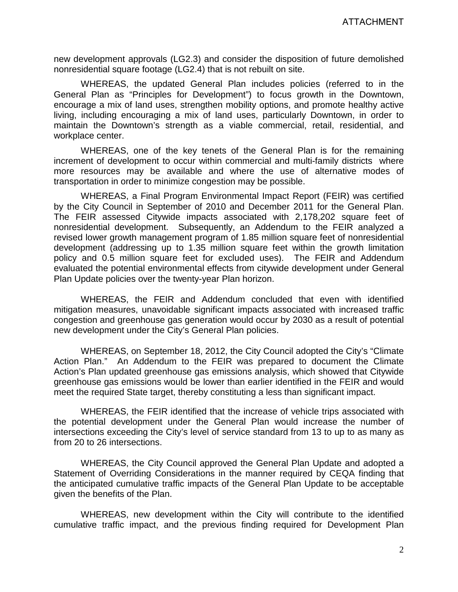new development approvals (LG2.3) and consider the disposition of future demolished nonresidential square footage (LG2.4) that is not rebuilt on site.

WHEREAS, the updated General Plan includes policies (referred to in the General Plan as "Principles for Development") to focus growth in the Downtown, encourage a mix of land uses, strengthen mobility options, and promote healthy active living, including encouraging a mix of land uses, particularly Downtown, in order to maintain the Downtown's strength as a viable commercial, retail, residential, and workplace center.

WHEREAS, one of the key tenets of the General Plan is for the remaining increment of development to occur within commercial and multi-family districts where more resources may be available and where the use of alternative modes of transportation in order to minimize congestion may be possible.

WHEREAS, a Final Program Environmental Impact Report (FEIR) was certified by the City Council in September of 2010 and December 2011 for the General Plan. The FEIR assessed Citywide impacts associated with 2,178,202 square feet of nonresidential development. Subsequently, an Addendum to the FEIR analyzed a revised lower growth management program of 1.85 million square feet of nonresidential development (addressing up to 1.35 million square feet within the growth limitation policy and 0.5 million square feet for excluded uses). The FEIR and Addendum evaluated the potential environmental effects from citywide development under General Plan Update policies over the twenty-year Plan horizon.

WHEREAS, the FEIR and Addendum concluded that even with identified mitigation measures, unavoidable significant impacts associated with increased traffic congestion and greenhouse gas generation would occur by 2030 as a result of potential new development under the City's General Plan policies.

WHEREAS, on September 18, 2012, the City Council adopted the City's "Climate Action Plan." An Addendum to the FEIR was prepared to document the Climate Action's Plan updated greenhouse gas emissions analysis, which showed that Citywide greenhouse gas emissions would be lower than earlier identified in the FEIR and would meet the required State target, thereby constituting a less than significant impact.

WHEREAS, the FEIR identified that the increase of vehicle trips associated with the potential development under the General Plan would increase the number of intersections exceeding the City's level of service standard from 13 to up to as many as from 20 to 26 intersections.

WHEREAS, the City Council approved the General Plan Update and adopted a Statement of Overriding Considerations in the manner required by CEQA finding that the anticipated cumulative traffic impacts of the General Plan Update to be acceptable given the benefits of the Plan.

WHEREAS, new development within the City will contribute to the identified cumulative traffic impact, and the previous finding required for Development Plan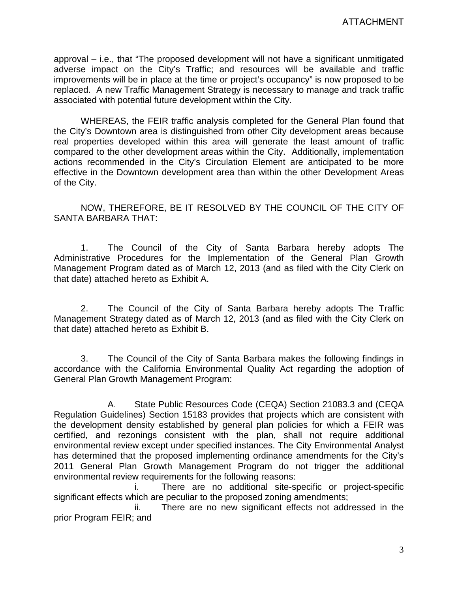approval – i.e., that "The proposed development will not have a significant unmitigated adverse impact on the City's Traffic; and resources will be available and traffic improvements will be in place at the time or project's occupancy" is now proposed to be replaced. A new Traffic Management Strategy is necessary to manage and track traffic associated with potential future development within the City.

WHEREAS, the FEIR traffic analysis completed for the General Plan found that the City's Downtown area is distinguished from other City development areas because real properties developed within this area will generate the least amount of traffic compared to the other development areas within the City. Additionally, implementation actions recommended in the City's Circulation Element are anticipated to be more effective in the Downtown development area than within the other Development Areas of the City.

NOW, THEREFORE, BE IT RESOLVED BY THE COUNCIL OF THE CITY OF SANTA BARBARA THAT:

1. The Council of the City of Santa Barbara hereby adopts The Administrative Procedures for the Implementation of the General Plan Growth Management Program dated as of March 12, 2013 (and as filed with the City Clerk on that date) attached hereto as Exhibit A.

2. The Council of the City of Santa Barbara hereby adopts The Traffic Management Strategy dated as of March 12, 2013 (and as filed with the City Clerk on that date) attached hereto as Exhibit B.

3. The Council of the City of Santa Barbara makes the following findings in accordance with the California Environmental Quality Act regarding the adoption of General Plan Growth Management Program:

A. State Public Resources Code (CEQA) Section 21083.3 and (CEQA Regulation Guidelines) Section 15183 provides that projects which are consistent with the development density established by general plan policies for which a FEIR was certified, and rezonings consistent with the plan, shall not require additional environmental review except under specified instances. The City Environmental Analyst has determined that the proposed implementing ordinance amendments for the City's 2011 General Plan Growth Management Program do not trigger the additional environmental review requirements for the following reasons:

i. There are no additional site-specific or project-specific significant effects which are peculiar to the proposed zoning amendments;

ii. There are no new significant effects not addressed in the prior Program FEIR; and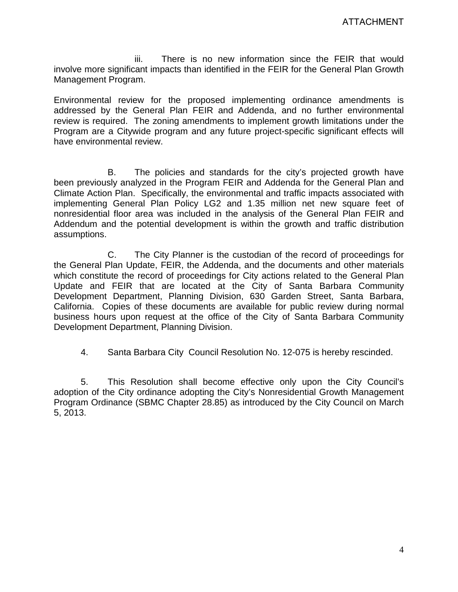iii. There is no new information since the FEIR that would involve more significant impacts than identified in the FEIR for the General Plan Growth Management Program.

Environmental review for the proposed implementing ordinance amendments is addressed by the General Plan FEIR and Addenda, and no further environmental review is required. The zoning amendments to implement growth limitations under the Program are a Citywide program and any future project-specific significant effects will have environmental review.

B. The policies and standards for the city's projected growth have been previously analyzed in the Program FEIR and Addenda for the General Plan and Climate Action Plan. Specifically, the environmental and traffic impacts associated with implementing General Plan Policy LG2 and 1.35 million net new square feet of nonresidential floor area was included in the analysis of the General Plan FEIR and Addendum and the potential development is within the growth and traffic distribution assumptions.

C. The City Planner is the custodian of the record of proceedings for the General Plan Update, FEIR, the Addenda, and the documents and other materials which constitute the record of proceedings for City actions related to the General Plan Update and FEIR that are located at the City of Santa Barbara Community Development Department, Planning Division, 630 Garden Street, Santa Barbara, California. Copies of these documents are available for public review during normal business hours upon request at the office of the City of Santa Barbara Community Development Department, Planning Division.

4. Santa Barbara City Council Resolution No. 12-075 is hereby rescinded.

5. This Resolution shall become effective only upon the City Council's adoption of the City ordinance adopting the City's Nonresidential Growth Management Program Ordinance (SBMC Chapter 28.85) as introduced by the City Council on March 5, 2013.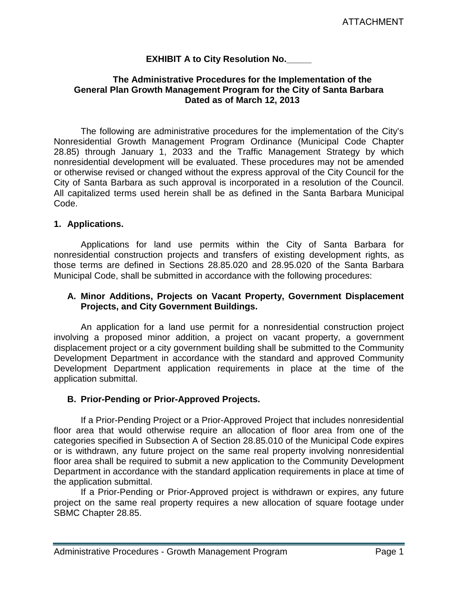### **EXHIBIT A to City Resolution No.\_\_\_\_\_**

#### **The Administrative Procedures for the Implementation of the General Plan Growth Management Program for the City of Santa Barbara Dated as of March 12, 2013**

The following are administrative procedures for the implementation of the City's Nonresidential Growth Management Program Ordinance (Municipal Code Chapter 28.85) through January 1, 2033 and the Traffic Management Strategy by which nonresidential development will be evaluated. These procedures may not be amended or otherwise revised or changed without the express approval of the City Council for the City of Santa Barbara as such approval is incorporated in a resolution of the Council. All capitalized terms used herein shall be as defined in the Santa Barbara Municipal Code.

#### **1. Applications.**

Applications for land use permits within the City of Santa Barbara for nonresidential construction projects and transfers of existing development rights, as those terms are defined in Sections 28.85.020 and 28.95.020 of the Santa Barbara Municipal Code, shall be submitted in accordance with the following procedures:

### **A. Minor Additions, Projects on Vacant Property, Government Displacement Projects, and City Government Buildings.**

An application for a land use permit for a nonresidential construction project involving a proposed minor addition, a project on vacant property, a government displacement project or a city government building shall be submitted to the Community Development Department in accordance with the standard and approved Community Development Department application requirements in place at the time of the application submittal.

### **B. Prior-Pending or Prior-Approved Projects.**

If a Prior-Pending Project or a Prior-Approved Project that includes nonresidential floor area that would otherwise require an allocation of floor area from one of the categories specified in Subsection A of Section 28.85.010 of the Municipal Code expires or is withdrawn, any future project on the same real property involving nonresidential floor area shall be required to submit a new application to the Community Development Department in accordance with the standard application requirements in place at time of the application submittal.

If a Prior-Pending or Prior-Approved project is withdrawn or expires, any future project on the same real property requires a new allocation of square footage under SBMC Chapter 28.85.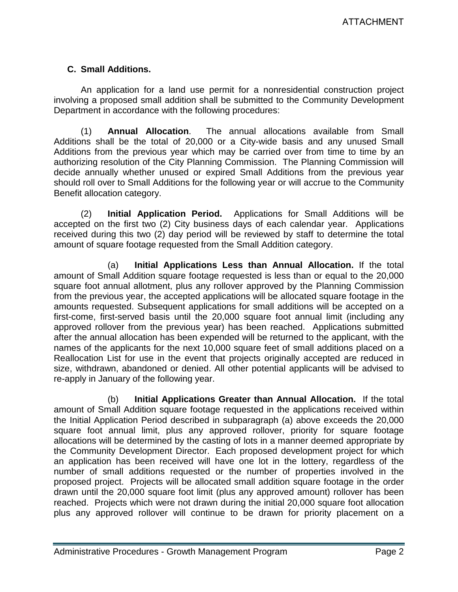# **C. Small Additions.**

An application for a land use permit for a nonresidential construction project involving a proposed small addition shall be submitted to the Community Development Department in accordance with the following procedures:

(1) **Annual Allocation**. The annual allocations available from Small Additions shall be the total of 20,000 or a City-wide basis and any unused Small Additions from the previous year which may be carried over from time to time by an authorizing resolution of the City Planning Commission. The Planning Commission will decide annually whether unused or expired Small Additions from the previous year should roll over to Small Additions for the following year or will accrue to the Community Benefit allocation category.

(2) **Initial Application Period.** Applications for Small Additions will be accepted on the first two (2) City business days of each calendar year. Applications received during this two (2) day period will be reviewed by staff to determine the total amount of square footage requested from the Small Addition category.

(a) **Initial Applications Less than Annual Allocation.** If the total amount of Small Addition square footage requested is less than or equal to the 20,000 square foot annual allotment, plus any rollover approved by the Planning Commission from the previous year, the accepted applications will be allocated square footage in the amounts requested. Subsequent applications for small additions will be accepted on a first-come, first-served basis until the 20,000 square foot annual limit (including any approved rollover from the previous year) has been reached. Applications submitted after the annual allocation has been expended will be returned to the applicant, with the names of the applicants for the next 10,000 square feet of small additions placed on a Reallocation List for use in the event that projects originally accepted are reduced in size, withdrawn, abandoned or denied. All other potential applicants will be advised to re-apply in January of the following year.

(b) **Initial Applications Greater than Annual Allocation.** If the total amount of Small Addition square footage requested in the applications received within the Initial Application Period described in subparagraph (a) above exceeds the 20,000 square foot annual limit, plus any approved rollover, priority for square footage allocations will be determined by the casting of lots in a manner deemed appropriate by the Community Development Director. Each proposed development project for which an application has been received will have one lot in the lottery, regardless of the number of small additions requested or the number of properties involved in the proposed project. Projects will be allocated small addition square footage in the order drawn until the 20,000 square foot limit (plus any approved amount) rollover has been reached. Projects which were not drawn during the initial 20,000 square foot allocation plus any approved rollover will continue to be drawn for priority placement on a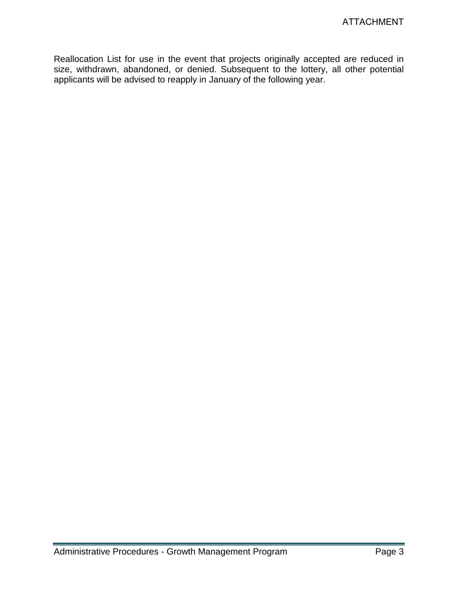Reallocation List for use in the event that projects originally accepted are reduced in size, withdrawn, abandoned, or denied. Subsequent to the lottery, all other potential applicants will be advised to reapply in January of the following year.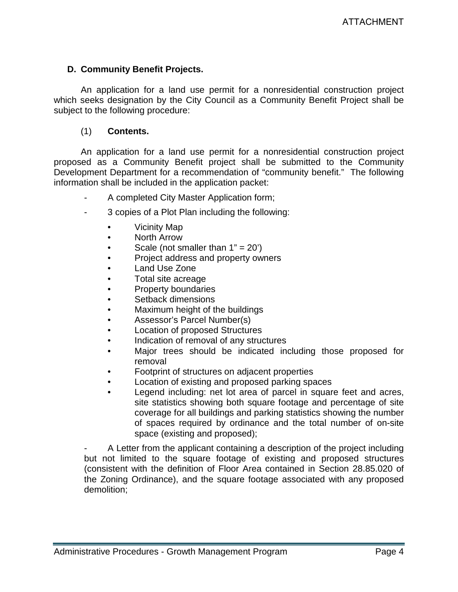# **D. Community Benefit Projects.**

An application for a land use permit for a nonresidential construction project which seeks designation by the City Council as a Community Benefit Project shall be subject to the following procedure:

### (1) **Contents.**

An application for a land use permit for a nonresidential construction project proposed as a Community Benefit project shall be submitted to the Community Development Department for a recommendation of "community benefit." The following information shall be included in the application packet:

- A completed City Master Application form;
- 3 copies of a Plot Plan including the following:
	- Vicinity Map
	- North Arrow
	- Scale (not smaller than  $1" = 20'$ )
	- Project address and property owners
	- Land Use Zone
	- Total site acreage
	- Property boundaries
	- Setback dimensions
	- Maximum height of the buildings
	- Assessor's Parcel Number(s)
	- Location of proposed Structures
	- Indication of removal of any structures
	- Major trees should be indicated including those proposed for removal
	- Footprint of structures on adjacent properties
	- Location of existing and proposed parking spaces
	- Legend including: net lot area of parcel in square feet and acres, site statistics showing both square footage and percentage of site coverage for all buildings and parking statistics showing the number of spaces required by ordinance and the total number of on-site space (existing and proposed);

- A Letter from the applicant containing a description of the project including but not limited to the square footage of existing and proposed structures (consistent with the definition of Floor Area contained in Section 28.85.020 of the Zoning Ordinance), and the square footage associated with any proposed demolition;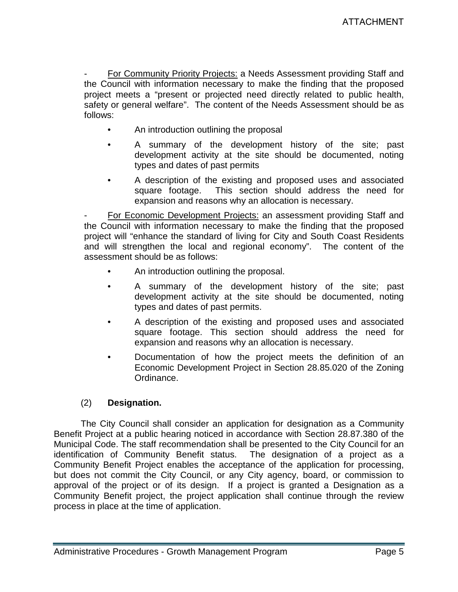For Community Priority Projects: a Needs Assessment providing Staff and the Council with information necessary to make the finding that the proposed project meets a "present or projected need directly related to public health, safety or general welfare". The content of the Needs Assessment should be as follows:

- An introduction outlining the proposal
- A summary of the development history of the site; past development activity at the site should be documented, noting types and dates of past permits
- A description of the existing and proposed uses and associated square footage. This section should address the need for expansion and reasons why an allocation is necessary.

For Economic Development Projects: an assessment providing Staff and the Council with information necessary to make the finding that the proposed project will "enhance the standard of living for City and South Coast Residents and will strengthen the local and regional economy". The content of the assessment should be as follows:

- An introduction outlining the proposal.
- A summary of the development history of the site; past development activity at the site should be documented, noting types and dates of past permits.
- A description of the existing and proposed uses and associated square footage. This section should address the need for expansion and reasons why an allocation is necessary.
- Documentation of how the project meets the definition of an Economic Development Project in Section 28.85.020 of the Zoning Ordinance.

# (2) **Designation.**

The City Council shall consider an application for designation as a Community Benefit Project at a public hearing noticed in accordance with Section 28.87.380 of the Municipal Code. The staff recommendation shall be presented to the City Council for an identification of Community Benefit status. The designation of a project as a Community Benefit Project enables the acceptance of the application for processing, but does not commit the City Council, or any City agency, board, or commission to approval of the project or of its design. If a project is granted a Designation as a Community Benefit project, the project application shall continue through the review process in place at the time of application.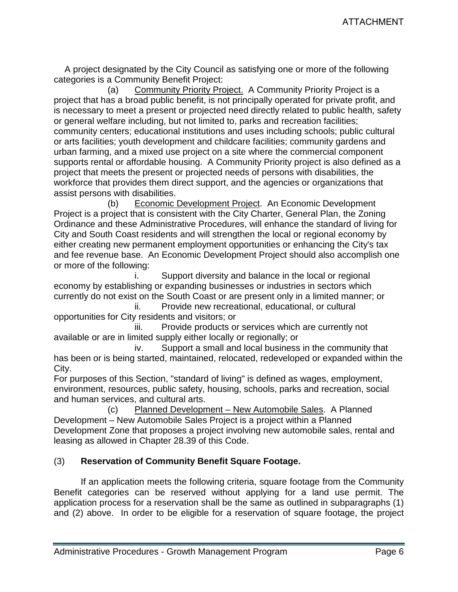A project designated by the City Council as satisfying one or more of the following categories is a Community Benefit Project:

(a) Community Priority Project. A Community Priority Project is a project that has a broad public benefit, is not principally operated for private profit, and is necessary to meet a present or projected need directly related to public health, safety or general welfare including, but not limited to, parks and recreation facilities; community centers; educational institutions and uses including schools; public cultural or arts facilities; youth development and childcare facilities; community gardens and urban farming, and a mixed use project on a site where the commercial component supports rental or affordable housing. A Community Priority project is also defined as a project that meets the present or projected needs of persons with disabilities, the workforce that provides them direct support, and the agencies or organizations that assist persons with disabilities.

 (b) Economic Development Project. An Economic Development Project is a project that is consistent with the City Charter, General Plan, the Zoning Ordinance and these Administrative Procedures, will enhance the standard of living for City and South Coast residents and will strengthen the local or regional economy by either creating new permanent employment opportunities or enhancing the City's tax and fee revenue base. An Economic Development Project should also accomplish one or more of the following:

 i. Support diversity and balance in the local or regional economy by establishing or expanding businesses or industries in sectors which currently do not exist on the South Coast or are present only in a limited manner; or

 ii. Provide new recreational, educational, or cultural opportunities for City residents and visitors; or

 iii. Provide products or services which are currently not available or are in limited supply either locally or regionally; or

 iv. Support a small and local business in the community that has been or is being started, maintained, relocated, redeveloped or expanded within the City.

For purposes of this Section, "standard of living" is defined as wages, employment, environment, resources, public safety, housing, schools, parks and recreation, social and human services, and cultural arts.

 (c) Planned Development – New Automobile Sales. A Planned Development – New Automobile Sales Project is a project within a Planned Development Zone that proposes a project involving new automobile sales, rental and leasing as allowed in Chapter 28.39 of this Code.

# (3) **Reservation of Community Benefit Square Footage.**

If an application meets the following criteria, square footage from the Community Benefit categories can be reserved without applying for a land use permit. The application process for a reservation shall be the same as outlined in subparagraphs (1) and (2) above. In order to be eligible for a reservation of square footage, the project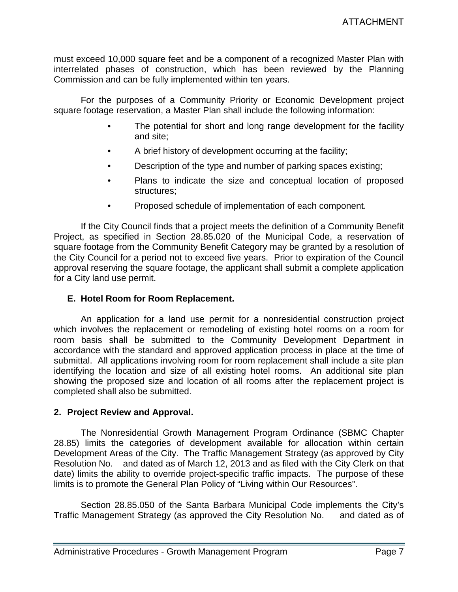must exceed 10,000 square feet and be a component of a recognized Master Plan with interrelated phases of construction, which has been reviewed by the Planning Commission and can be fully implemented within ten years.

For the purposes of a Community Priority or Economic Development project square footage reservation, a Master Plan shall include the following information:

- The potential for short and long range development for the facility and site;
- A brief history of development occurring at the facility;
- Description of the type and number of parking spaces existing;
- Plans to indicate the size and conceptual location of proposed structures;
- Proposed schedule of implementation of each component.

If the City Council finds that a project meets the definition of a Community Benefit Project, as specified in Section 28.85.020 of the Municipal Code, a reservation of square footage from the Community Benefit Category may be granted by a resolution of the City Council for a period not to exceed five years. Prior to expiration of the Council approval reserving the square footage, the applicant shall submit a complete application for a City land use permit.

### **E. Hotel Room for Room Replacement.**

An application for a land use permit for a nonresidential construction project which involves the replacement or remodeling of existing hotel rooms on a room for room basis shall be submitted to the Community Development Department in accordance with the standard and approved application process in place at the time of submittal. All applications involving room for room replacement shall include a site plan identifying the location and size of all existing hotel rooms. An additional site plan showing the proposed size and location of all rooms after the replacement project is completed shall also be submitted.

### **2. Project Review and Approval.**

The Nonresidential Growth Management Program Ordinance (SBMC Chapter 28.85) limits the categories of development available for allocation within certain Development Areas of the City. The Traffic Management Strategy (as approved by City Resolution No. and dated as of March 12, 2013 and as filed with the City Clerk on that date) limits the ability to override project-specific traffic impacts. The purpose of these limits is to promote the General Plan Policy of "Living within Our Resources".

Section 28.85.050 of the Santa Barbara Municipal Code implements the City's Traffic Management Strategy (as approved the City Resolution No. and dated as of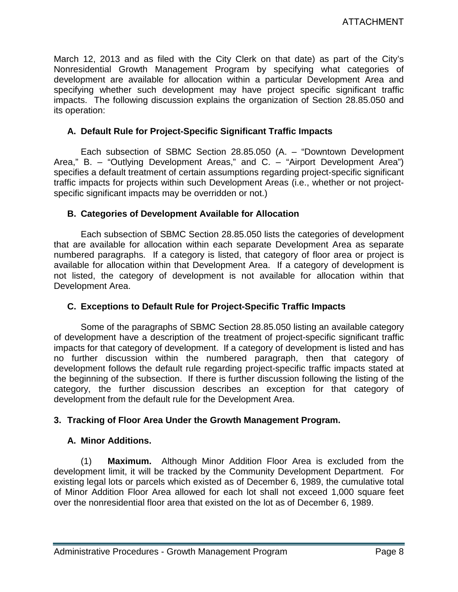March 12, 2013 and as filed with the City Clerk on that date) as part of the City's Nonresidential Growth Management Program by specifying what categories of development are available for allocation within a particular Development Area and specifying whether such development may have project specific significant traffic impacts. The following discussion explains the organization of Section 28.85.050 and its operation:

### **A. Default Rule for Project-Specific Significant Traffic Impacts**

Each subsection of SBMC Section 28.85.050 (A. – "Downtown Development Area," B. – "Outlying Development Areas," and C. – "Airport Development Area") specifies a default treatment of certain assumptions regarding project-specific significant traffic impacts for projects within such Development Areas (i.e., whether or not projectspecific significant impacts may be overridden or not.)

### **B. Categories of Development Available for Allocation**

Each subsection of SBMC Section 28.85.050 lists the categories of development that are available for allocation within each separate Development Area as separate numbered paragraphs. If a category is listed, that category of floor area or project is available for allocation within that Development Area. If a category of development is not listed, the category of development is not available for allocation within that Development Area.

# **C. Exceptions to Default Rule for Project-Specific Traffic Impacts**

Some of the paragraphs of SBMC Section 28.85.050 listing an available category of development have a description of the treatment of project-specific significant traffic impacts for that category of development. If a category of development is listed and has no further discussion within the numbered paragraph, then that category of development follows the default rule regarding project-specific traffic impacts stated at the beginning of the subsection. If there is further discussion following the listing of the category, the further discussion describes an exception for that category of development from the default rule for the Development Area.

### **3. Tracking of Floor Area Under the Growth Management Program.**

### **A. Minor Additions.**

(1) **Maximum.** Although Minor Addition Floor Area is excluded from the development limit, it will be tracked by the Community Development Department. For existing legal lots or parcels which existed as of December 6, 1989, the cumulative total of Minor Addition Floor Area allowed for each lot shall not exceed 1,000 square feet over the nonresidential floor area that existed on the lot as of December 6, 1989.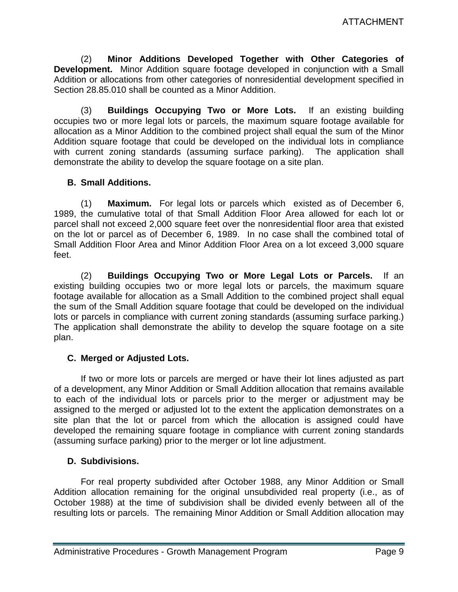(2) **Minor Additions Developed Together with Other Categories of Development.** Minor Addition square footage developed in conjunction with a Small Addition or allocations from other categories of nonresidential development specified in Section 28.85.010 shall be counted as a Minor Addition.

(3) **Buildings Occupying Two or More Lots.** If an existing building occupies two or more legal lots or parcels, the maximum square footage available for allocation as a Minor Addition to the combined project shall equal the sum of the Minor Addition square footage that could be developed on the individual lots in compliance with current zoning standards (assuming surface parking). The application shall demonstrate the ability to develop the square footage on a site plan.

### **B. Small Additions.**

(1) **Maximum.** For legal lots or parcels which existed as of December 6, 1989, the cumulative total of that Small Addition Floor Area allowed for each lot or parcel shall not exceed 2,000 square feet over the nonresidential floor area that existed on the lot or parcel as of December 6, 1989. In no case shall the combined total of Small Addition Floor Area and Minor Addition Floor Area on a lot exceed 3,000 square feet.

(2) **Buildings Occupying Two or More Legal Lots or Parcels.** If an existing building occupies two or more legal lots or parcels, the maximum square footage available for allocation as a Small Addition to the combined project shall equal the sum of the Small Addition square footage that could be developed on the individual lots or parcels in compliance with current zoning standards (assuming surface parking.) The application shall demonstrate the ability to develop the square footage on a site plan.

# **C. Merged or Adjusted Lots.**

If two or more lots or parcels are merged or have their lot lines adjusted as part of a development, any Minor Addition or Small Addition allocation that remains available to each of the individual lots or parcels prior to the merger or adjustment may be assigned to the merged or adjusted lot to the extent the application demonstrates on a site plan that the lot or parcel from which the allocation is assigned could have developed the remaining square footage in compliance with current zoning standards (assuming surface parking) prior to the merger or lot line adjustment.

### **D. Subdivisions.**

For real property subdivided after October 1988, any Minor Addition or Small Addition allocation remaining for the original unsubdivided real property (i.e., as of October 1988) at the time of subdivision shall be divided evenly between all of the resulting lots or parcels. The remaining Minor Addition or Small Addition allocation may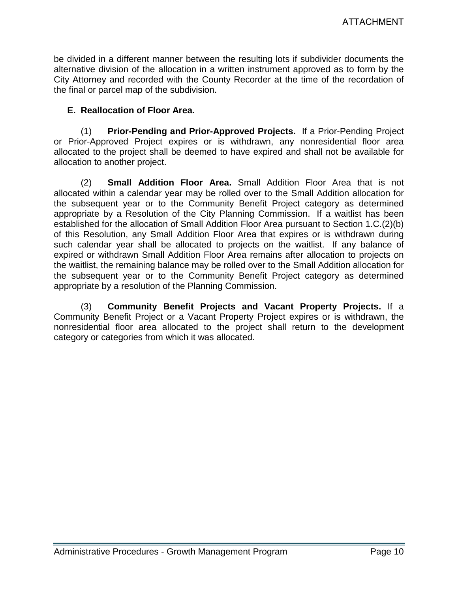be divided in a different manner between the resulting lots if subdivider documents the alternative division of the allocation in a written instrument approved as to form by the City Attorney and recorded with the County Recorder at the time of the recordation of the final or parcel map of the subdivision.

### **E. Reallocation of Floor Area.**

(1) **Prior-Pending and Prior-Approved Projects.** If a Prior-Pending Project or Prior-Approved Project expires or is withdrawn, any nonresidential floor area allocated to the project shall be deemed to have expired and shall not be available for allocation to another project.

(2) **Small Addition Floor Area.** Small Addition Floor Area that is not allocated within a calendar year may be rolled over to the Small Addition allocation for the subsequent year or to the Community Benefit Project category as determined appropriate by a Resolution of the City Planning Commission. If a waitlist has been established for the allocation of Small Addition Floor Area pursuant to Section 1.C.(2)(b) of this Resolution, any Small Addition Floor Area that expires or is withdrawn during such calendar year shall be allocated to projects on the waitlist. If any balance of expired or withdrawn Small Addition Floor Area remains after allocation to projects on the waitlist, the remaining balance may be rolled over to the Small Addition allocation for the subsequent year or to the Community Benefit Project category as determined appropriate by a resolution of the Planning Commission.

(3) **Community Benefit Projects and Vacant Property Projects.** If a Community Benefit Project or a Vacant Property Project expires or is withdrawn, the nonresidential floor area allocated to the project shall return to the development category or categories from which it was allocated.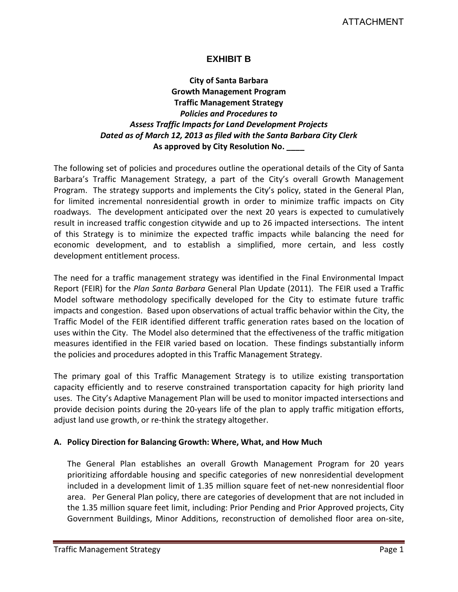# **EXHIBIT B**

# **City of Santa Barbara Growth Management Program Traffic Management Strategy** *Policies and Procedures to Assess Traffic Impacts for Land Development Projects Dated as of March 12, 2013 as filed with the Santa Barbara City Clerk* **As approved by City Resolution No. \_\_\_\_**

The following set of policies and procedures outline the operational details of the City of Santa Barbara's Traffic Management Strategy, a part of the City's overall Growth Management Program. The strategy supports and implements the City's policy, stated in the General Plan, for limited incremental nonresidential growth in order to minimize traffic impacts on City roadways. The development anticipated over the next 20 years is expected to cumulatively result in increased traffic congestion citywide and up to 26 impacted intersections. The intent of this Strategy is to minimize the expected traffic impacts while balancing the need for economic development, and to establish a simplified, more certain, and less costly development entitlement process.

The need for a traffic management strategy was identified in the Final Environmental Impact Report (FEIR) for the *Plan Santa Barbara* General Plan Update (2011). The FEIR used a Traffic Model software methodology specifically developed for the City to estimate future traffic impacts and congestion. Based upon observations of actual traffic behavior within the City, the Traffic Model of the FEIR identified different traffic generation rates based on the location of uses within the City. The Model also determined that the effectiveness of the traffic mitigation measures identified in the FEIR varied based on location. These findings substantially inform the policies and procedures adopted in this Traffic Management Strategy.

The primary goal of this Traffic Management Strategy is to utilize existing transportation capacity efficiently and to reserve constrained transportation capacity for high priority land uses. The City's Adaptive Management Plan will be used to monitor impacted intersections and provide decision points during the 20-years life of the plan to apply traffic mitigation efforts, adjust land use growth, or re-think the strategy altogether.

### **A. Policy Direction for Balancing Growth: Where, What, and How Much**

The General Plan establishes an overall Growth Management Program for 20 years prioritizing affordable housing and specific categories of new nonresidential development included in a development limit of 1.35 million square feet of net-new nonresidential floor area. Per General Plan policy, there are categories of development that are not included in the 1.35 million square feet limit, including: Prior Pending and Prior Approved projects, City Government Buildings, Minor Additions, reconstruction of demolished floor area on-site,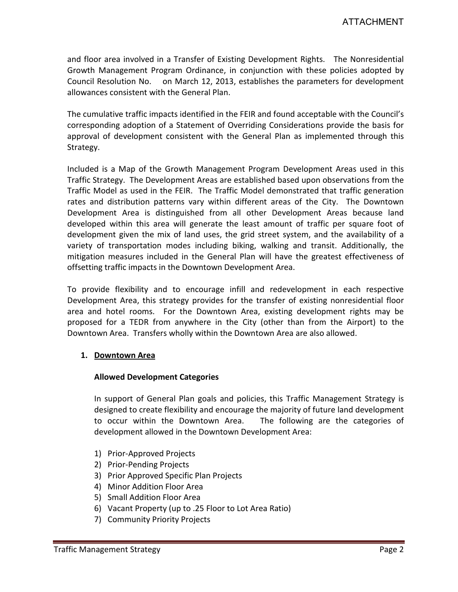and floor area involved in a Transfer of Existing Development Rights. The Nonresidential Growth Management Program Ordinance, in conjunction with these policies adopted by Council Resolution No. on March 12, 2013, establishes the parameters for development allowances consistent with the General Plan.

The cumulative traffic impacts identified in the FEIR and found acceptable with the Council's corresponding adoption of a Statement of Overriding Considerations provide the basis for approval of development consistent with the General Plan as implemented through this Strategy.

Included is a Map of the Growth Management Program Development Areas used in this Traffic Strategy. The Development Areas are established based upon observations from the Traffic Model as used in the FEIR. The Traffic Model demonstrated that traffic generation rates and distribution patterns vary within different areas of the City. The Downtown Development Area is distinguished from all other Development Areas because land developed within this area will generate the least amount of traffic per square foot of development given the mix of land uses, the grid street system, and the availability of a variety of transportation modes including biking, walking and transit. Additionally, the mitigation measures included in the General Plan will have the greatest effectiveness of offsetting traffic impacts in the Downtown Development Area.

To provide flexibility and to encourage infill and redevelopment in each respective Development Area, this strategy provides for the transfer of existing nonresidential floor area and hotel rooms. For the Downtown Area, existing development rights may be proposed for a TEDR from anywhere in the City (other than from the Airport) to the Downtown Area. Transfers wholly within the Downtown Area are also allowed.

#### **1. Downtown Area**

#### **Allowed Development Categories**

In support of General Plan goals and policies, this Traffic Management Strategy is designed to create flexibility and encourage the majority of future land development to occur within the Downtown Area. The following are the categories of development allowed in the Downtown Development Area:

- 1) Prior-Approved Projects
- 2) Prior-Pending Projects
- 3) Prior Approved Specific Plan Projects
- 4) Minor Addition Floor Area
- 5) Small Addition Floor Area
- 6) Vacant Property (up to .25 Floor to Lot Area Ratio)
- 7) Community Priority Projects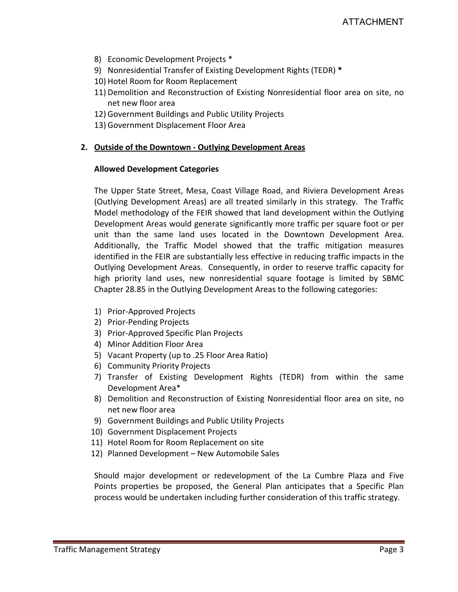- 8) Economic Development Projects \*
- 9) Nonresidential Transfer of Existing Development Rights (TEDR) **\***
- 10) Hotel Room for Room Replacement
- 11) Demolition and Reconstruction of Existing Nonresidential floor area on site, no net new floor area
- 12) Government Buildings and Public Utility Projects
- 13) Government Displacement Floor Area

#### **2. Outside of the Downtown - Outlying Development Areas**

#### **Allowed Development Categories**

The Upper State Street, Mesa, Coast Village Road, and Riviera Development Areas (Outlying Development Areas) are all treated similarly in this strategy. The Traffic Model methodology of the FEIR showed that land development within the Outlying Development Areas would generate significantly more traffic per square foot or per unit than the same land uses located in the Downtown Development Area. Additionally, the Traffic Model showed that the traffic mitigation measures identified in the FEIR are substantially less effective in reducing traffic impacts in the Outlying Development Areas. Consequently, in order to reserve traffic capacity for high priority land uses, new nonresidential square footage is limited by SBMC Chapter 28.85 in the Outlying Development Areas to the following categories:

- 1) Prior-Approved Projects
- 2) Prior-Pending Projects
- 3) Prior-Approved Specific Plan Projects
- 4) Minor Addition Floor Area
- 5) Vacant Property (up to .25 Floor Area Ratio)
- 6) Community Priority Projects
- 7) Transfer of Existing Development Rights (TEDR) from within the same Development Area\*
- 8) Demolition and Reconstruction of Existing Nonresidential floor area on site, no net new floor area
- 9) Government Buildings and Public Utility Projects
- 10) Government Displacement Projects
- 11) Hotel Room for Room Replacement on site
- 12) Planned Development New Automobile Sales

Should major development or redevelopment of the La Cumbre Plaza and Five Points properties be proposed, the General Plan anticipates that a Specific Plan process would be undertaken including further consideration of this traffic strategy.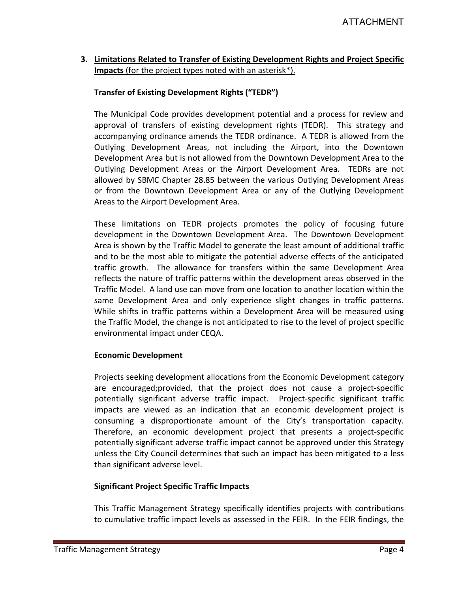### **3. Limitations Related to Transfer of Existing Development Rights and Project Specific Impacts** (for the project types noted with an asterisk\*).

#### **Transfer of Existing Development Rights ("TEDR")**

The Municipal Code provides development potential and a process for review and approval of transfers of existing development rights (TEDR). This strategy and accompanying ordinance amends the TEDR ordinance. A TEDR is allowed from the Outlying Development Areas, not including the Airport, into the Downtown Development Area but is not allowed from the Downtown Development Area to the Outlying Development Areas or the Airport Development Area. TEDRs are not allowed by SBMC Chapter 28.85 between the various Outlying Development Areas or from the Downtown Development Area or any of the Outlying Development Areas to the Airport Development Area.

These limitations on TEDR projects promotes the policy of focusing future development in the Downtown Development Area. The Downtown Development Area is shown by the Traffic Model to generate the least amount of additional traffic and to be the most able to mitigate the potential adverse effects of the anticipated traffic growth. The allowance for transfers within the same Development Area reflects the nature of traffic patterns within the development areas observed in the Traffic Model. A land use can move from one location to another location within the same Development Area and only experience slight changes in traffic patterns. While shifts in traffic patterns within a Development Area will be measured using the Traffic Model, the change is not anticipated to rise to the level of project specific environmental impact under CEQA.

#### **Economic Development**

Projects seeking development allocations from the Economic Development category are encouraged;provided, that the project does not cause a project-specific potentially significant adverse traffic impact. Project-specific significant traffic impacts are viewed as an indication that an economic development project is consuming a disproportionate amount of the City's transportation capacity. Therefore, an economic development project that presents a project-specific potentially significant adverse traffic impact cannot be approved under this Strategy unless the City Council determines that such an impact has been mitigated to a less than significant adverse level.

#### **Significant Project Specific Traffic Impacts**

This Traffic Management Strategy specifically identifies projects with contributions to cumulative traffic impact levels as assessed in the FEIR. In the FEIR findings, the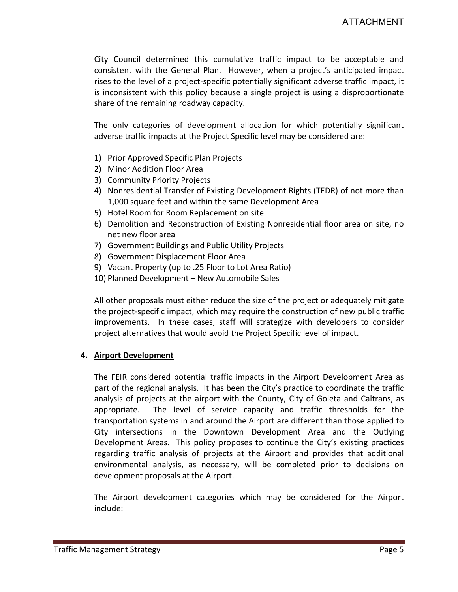City Council determined this cumulative traffic impact to be acceptable and consistent with the General Plan. However, when a project's anticipated impact rises to the level of a project-specific potentially significant adverse traffic impact, it is inconsistent with this policy because a single project is using a disproportionate share of the remaining roadway capacity.

The only categories of development allocation for which potentially significant adverse traffic impacts at the Project Specific level may be considered are:

- 1) Prior Approved Specific Plan Projects
- 2) Minor Addition Floor Area
- 3) Community Priority Projects
- 4) Nonresidential Transfer of Existing Development Rights (TEDR) of not more than 1,000 square feet and within the same Development Area
- 5) Hotel Room for Room Replacement on site
- 6) Demolition and Reconstruction of Existing Nonresidential floor area on site, no net new floor area
- 7) Government Buildings and Public Utility Projects
- 8) Government Displacement Floor Area
- 9) Vacant Property (up to .25 Floor to Lot Area Ratio)
- 10) Planned Development New Automobile Sales

All other proposals must either reduce the size of the project or adequately mitigate the project-specific impact, which may require the construction of new public traffic improvements. In these cases, staff will strategize with developers to consider project alternatives that would avoid the Project Specific level of impact.

#### **4. Airport Development**

The FEIR considered potential traffic impacts in the Airport Development Area as part of the regional analysis. It has been the City's practice to coordinate the traffic analysis of projects at the airport with the County, City of Goleta and Caltrans, as appropriate. The level of service capacity and traffic thresholds for the transportation systems in and around the Airport are different than those applied to City intersections in the Downtown Development Area and the Outlying Development Areas. This policy proposes to continue the City's existing practices regarding traffic analysis of projects at the Airport and provides that additional environmental analysis, as necessary, will be completed prior to decisions on development proposals at the Airport.

The Airport development categories which may be considered for the Airport include: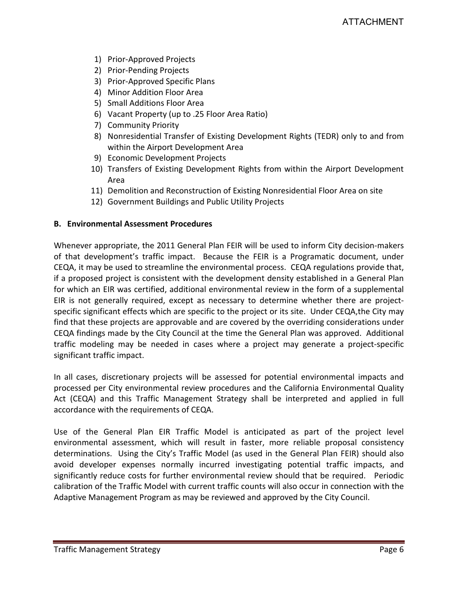- 1) Prior-Approved Projects
- 2) Prior-Pending Projects
- 3) Prior-Approved Specific Plans
- 4) Minor Addition Floor Area
- 5) Small Additions Floor Area
- 6) Vacant Property (up to .25 Floor Area Ratio)
- 7) Community Priority
- 8) Nonresidential Transfer of Existing Development Rights (TEDR) only to and from within the Airport Development Area
- 9) Economic Development Projects
- 10) Transfers of Existing Development Rights from within the Airport Development Area
- 11) Demolition and Reconstruction of Existing Nonresidential Floor Area on site
- 12) Government Buildings and Public Utility Projects

### **B. Environmental Assessment Procedures**

Whenever appropriate, the 2011 General Plan FEIR will be used to inform City decision-makers of that development's traffic impact. Because the FEIR is a Programatic document, under CEQA, it may be used to streamline the environmental process. CEQA regulations provide that, if a proposed project is consistent with the development density established in a General Plan for which an EIR was certified, additional environmental review in the form of a supplemental EIR is not generally required, except as necessary to determine whether there are projectspecific significant effects which are specific to the project or its site. Under CEQA,the City may find that these projects are approvable and are covered by the overriding considerations under CEQA findings made by the City Council at the time the General Plan was approved. Additional traffic modeling may be needed in cases where a project may generate a project-specific significant traffic impact.

In all cases, discretionary projects will be assessed for potential environmental impacts and processed per City environmental review procedures and the California Environmental Quality Act (CEQA) and this Traffic Management Strategy shall be interpreted and applied in full accordance with the requirements of CEQA.

Use of the General Plan EIR Traffic Model is anticipated as part of the project level environmental assessment, which will result in faster, more reliable proposal consistency determinations. Using the City's Traffic Model (as used in the General Plan FEIR) should also avoid developer expenses normally incurred investigating potential traffic impacts, and significantly reduce costs for further environmental review should that be required. Periodic calibration of the Traffic Model with current traffic counts will also occur in connection with the Adaptive Management Program as may be reviewed and approved by the City Council.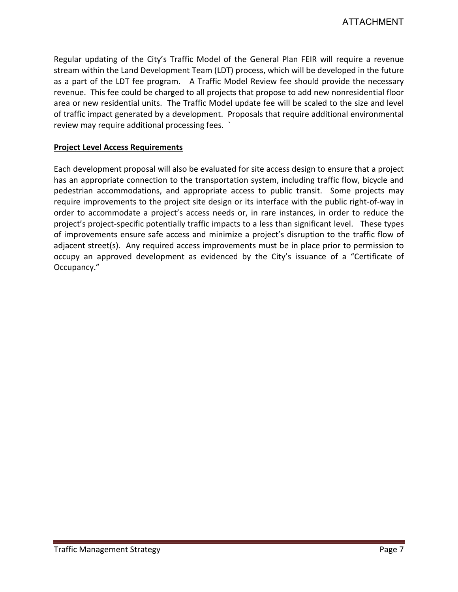Regular updating of the City's Traffic Model of the General Plan FEIR will require a revenue stream within the Land Development Team (LDT) process, which will be developed in the future as a part of the LDT fee program. A Traffic Model Review fee should provide the necessary revenue. This fee could be charged to all projects that propose to add new nonresidential floor area or new residential units. The Traffic Model update fee will be scaled to the size and level of traffic impact generated by a development. Proposals that require additional environmental review may require additional processing fees. `

#### **Project Level Access Requirements**

Each development proposal will also be evaluated for site access design to ensure that a project has an appropriate connection to the transportation system, including traffic flow, bicycle and pedestrian accommodations, and appropriate access to public transit. Some projects may require improvements to the project site design or its interface with the public right-of-way in order to accommodate a project's access needs or, in rare instances, in order to reduce the project's project-specific potentially traffic impacts to a less than significant level. These types of improvements ensure safe access and minimize a project's disruption to the traffic flow of adjacent street(s). Any required access improvements must be in place prior to permission to occupy an approved development as evidenced by the City's issuance of a "Certificate of Occupancy."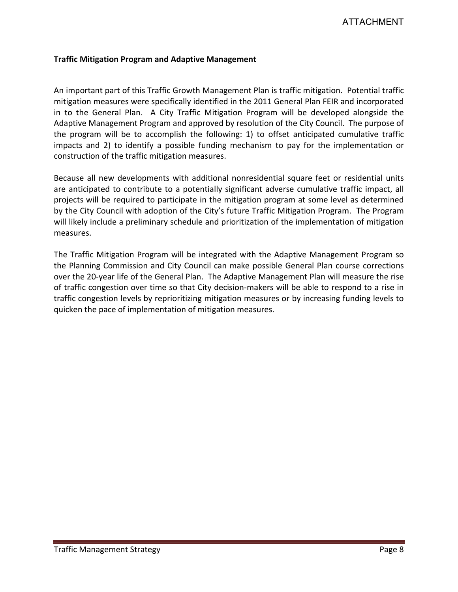#### **Traffic Mitigation Program and Adaptive Management**

An important part of this Traffic Growth Management Plan is traffic mitigation. Potential traffic mitigation measures were specifically identified in the 2011 General Plan FEIR and incorporated in to the General Plan. A City Traffic Mitigation Program will be developed alongside the Adaptive Management Program and approved by resolution of the City Council. The purpose of the program will be to accomplish the following: 1) to offset anticipated cumulative traffic impacts and 2) to identify a possible funding mechanism to pay for the implementation or construction of the traffic mitigation measures.

Because all new developments with additional nonresidential square feet or residential units are anticipated to contribute to a potentially significant adverse cumulative traffic impact, all projects will be required to participate in the mitigation program at some level as determined by the City Council with adoption of the City's future Traffic Mitigation Program. The Program will likely include a preliminary schedule and prioritization of the implementation of mitigation measures.

The Traffic Mitigation Program will be integrated with the Adaptive Management Program so the Planning Commission and City Council can make possible General Plan course corrections over the 20-year life of the General Plan. The Adaptive Management Plan will measure the rise of traffic congestion over time so that City decision-makers will be able to respond to a rise in traffic congestion levels by reprioritizing mitigation measures or by increasing funding levels to quicken the pace of implementation of mitigation measures.